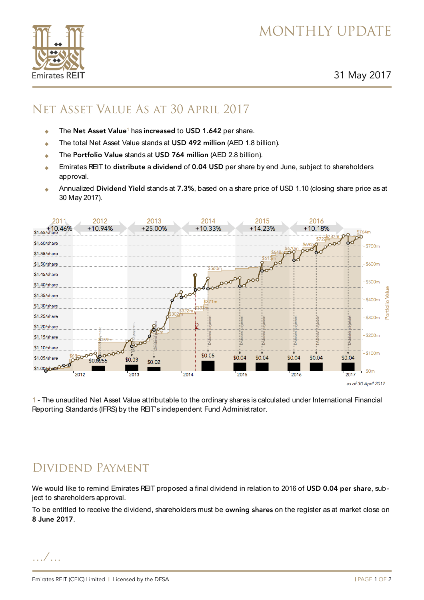# MONTHLY UPDATE

31 May 2017

#### Net Asset Value As at 30 April 2017

- ◆ The Net Asset Value<sup>1</sup> has increased to USD 1.642 per share.
- ◆ The total Net Asset Value stands at USD 492 million (AED 1.8 billion).
- The Portfolio Value stands at USD 764 million (AED 2.8 billion).
- Emirates REIT to distribute a dividend of 0.04 USD per share by end June, subject to shareholders approval.
- Annualized Dividend Yield stands at 7.3%, based on a share price of USD 1.10 (closing share price as at 30 May 2017).



1 - The unaudited Net Asset Value attributable to the ordinary shares is calculated under International Financial Reporting Standards (IFRS) by the REIT's independent Fund Administrator.

## Dividend Payment

We would like to remind Emirates REIT proposed a final dividend in relation to 2016 of USD 0.04 per share, subject to shareholders approval.

To be entitled to receive the dividend, shareholders must be owning shares on the register as at market close on 8 June 2017.

…/…